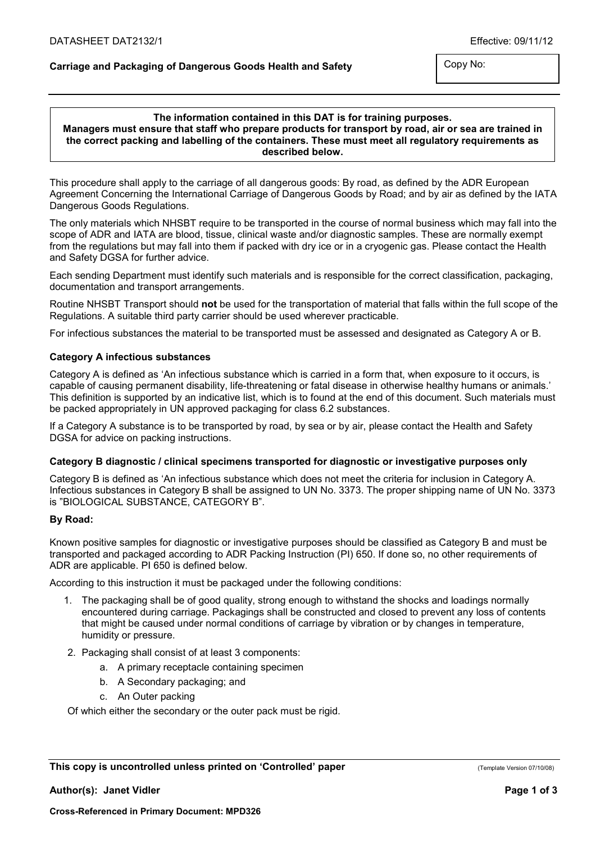# Carriage and Packaging of Dangerous Goods Health and Safety

Copy No:

# The information contained in this DAT is for training purposes. Managers must ensure that staff who prepare products for transport by road, air or sea are trained in the correct packing and labelling of the containers. These must meet all regulatory requirements as described below.

This procedure shall apply to the carriage of all dangerous goods: By road, as defined by the ADR European Agreement Concerning the International Carriage of Dangerous Goods by Road; and by air as defined by the IATA Dangerous Goods Regulations.

The only materials which NHSBT require to be transported in the course of normal business which may fall into the scope of ADR and IATA are blood, tissue, clinical waste and/or diagnostic samples. These are normally exempt from the regulations but may fall into them if packed with dry ice or in a cryogenic gas. Please contact the Health and Safety DGSA for further advice.

Each sending Department must identify such materials and is responsible for the correct classification, packaging, documentation and transport arrangements.

Routine NHSBT Transport should not be used for the transportation of material that falls within the full scope of the Regulations. A suitable third party carrier should be used wherever practicable.

For infectious substances the material to be transported must be assessed and designated as Category A or B.

## Category A infectious substances

Category A is defined as 'An infectious substance which is carried in a form that, when exposure to it occurs, is capable of causing permanent disability, life-threatening or fatal disease in otherwise healthy humans or animals.' This definition is supported by an indicative list, which is to found at the end of this document. Such materials must be packed appropriately in UN approved packaging for class 6.2 substances.

If a Category A substance is to be transported by road, by sea or by air, please contact the Health and Safety DGSA for advice on packing instructions.

### Category B diagnostic / clinical specimens transported for diagnostic or investigative purposes only

Category B is defined as 'An infectious substance which does not meet the criteria for inclusion in Category A. Infectious substances in Category B shall be assigned to UN No. 3373. The proper shipping name of UN No. 3373 is "BIOLOGICAL SUBSTANCE, CATEGORY B".

## By Road:

Known positive samples for diagnostic or investigative purposes should be classified as Category B and must be transported and packaged according to ADR Packing Instruction (PI) 650. If done so, no other requirements of ADR are applicable. PI 650 is defined below.

According to this instruction it must be packaged under the following conditions:

- 1. The packaging shall be of good quality, strong enough to withstand the shocks and loadings normally encountered during carriage. Packagings shall be constructed and closed to prevent any loss of contents that might be caused under normal conditions of carriage by vibration or by changes in temperature, humidity or pressure.
- 2. Packaging shall consist of at least 3 components:
	- a. A primary receptacle containing specimen
	- b. A Secondary packaging; and
	- c. An Outer packing

Of which either the secondary or the outer pack must be rigid.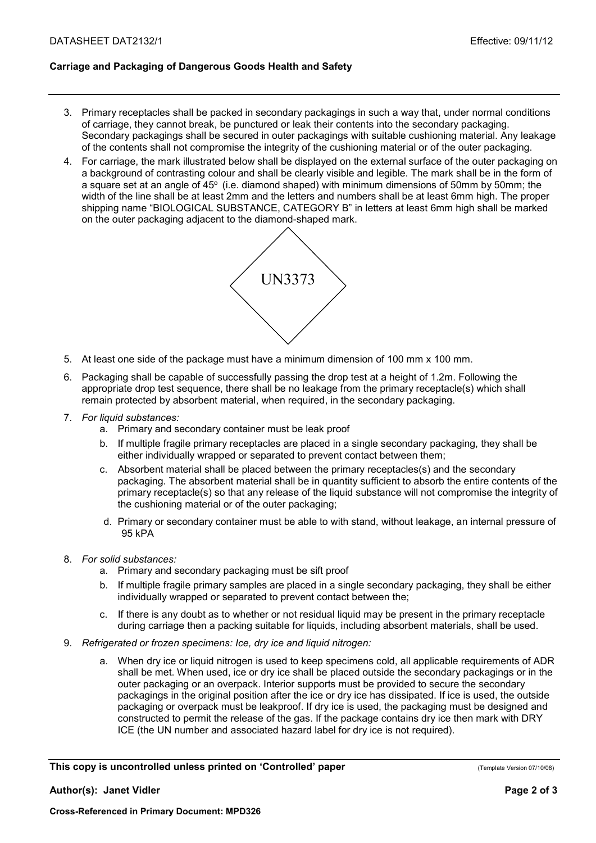# Carriage and Packaging of Dangerous Goods Health and Safety

- 3. Primary receptacles shall be packed in secondary packagings in such a way that, under normal conditions of carriage, they cannot break, be punctured or leak their contents into the secondary packaging. Secondary packagings shall be secured in outer packagings with suitable cushioning material. Any leakage of the contents shall not compromise the integrity of the cushioning material or of the outer packaging.
- 4. For carriage, the mark illustrated below shall be displayed on the external surface of the outer packaging on a background of contrasting colour and shall be clearly visible and legible. The mark shall be in the form of a square set at an angle of  $45^{\circ}$  (i.e. diamond shaped) with minimum dimensions of 50mm by 50mm; the width of the line shall be at least 2mm and the letters and numbers shall be at least 6mm high. The proper shipping name "BIOLOGICAL SUBSTANCE, CATEGORY B" in letters at least 6mm high shall be marked on the outer packaging adjacent to the diamond-shaped mark.



- 5. At least one side of the package must have a minimum dimension of 100 mm x 100 mm.
- 6. Packaging shall be capable of successfully passing the drop test at a height of 1.2m. Following the appropriate drop test sequence, there shall be no leakage from the primary receptacle(s) which shall remain protected by absorbent material, when required, in the secondary packaging.
- 7. For liquid substances:
	- a. Primary and secondary container must be leak proof
	- b. If multiple fragile primary receptacles are placed in a single secondary packaging, they shall be either individually wrapped or separated to prevent contact between them;
	- c. Absorbent material shall be placed between the primary receptacles(s) and the secondary packaging. The absorbent material shall be in quantity sufficient to absorb the entire contents of the primary receptacle(s) so that any release of the liquid substance will not compromise the integrity of the cushioning material or of the outer packaging;
	- d. Primary or secondary container must be able to with stand, without leakage, an internal pressure of 95 kPA
- 8. For solid substances:
	- a. Primary and secondary packaging must be sift proof
	- b. If multiple fragile primary samples are placed in a single secondary packaging, they shall be either individually wrapped or separated to prevent contact between the;
	- c. If there is any doubt as to whether or not residual liquid may be present in the primary receptacle during carriage then a packing suitable for liquids, including absorbent materials, shall be used.
- 9. Refrigerated or frozen specimens: Ice, dry ice and liquid nitrogen:
	- a. When dry ice or liquid nitrogen is used to keep specimens cold, all applicable requirements of ADR shall be met. When used, ice or dry ice shall be placed outside the secondary packagings or in the outer packaging or an overpack. Interior supports must be provided to secure the secondary packagings in the original position after the ice or dry ice has dissipated. If ice is used, the outside packaging or overpack must be leakproof. If dry ice is used, the packaging must be designed and constructed to permit the release of the gas. If the package contains dry ice then mark with DRY ICE (the UN number and associated hazard label for dry ice is not required).